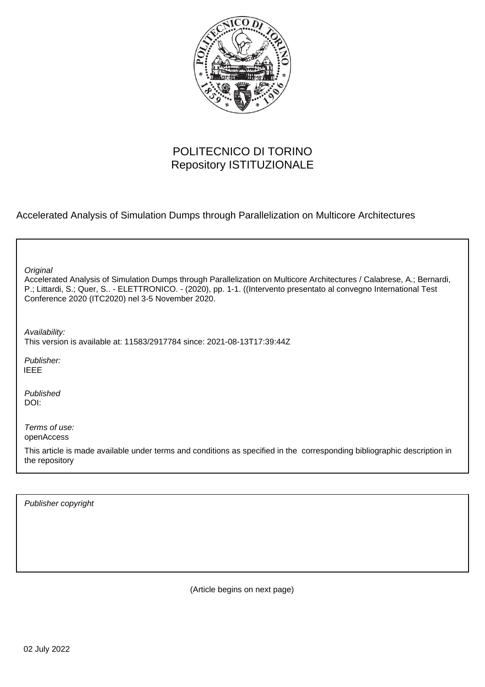

## POLITECNICO DI TORINO Repository ISTITUZIONALE

Accelerated Analysis of Simulation Dumps through Parallelization on Multicore Architectures

| Original<br>Accelerated Analysis of Simulation Dumps through Parallelization on Multicore Architectures / Calabrese, A.; Bernardi,<br>P.; Littardi, S.; Quer, S - ELETTRONICO. - (2020), pp. 1-1. ((Intervento presentato al convegno International Test<br>Conference 2020 (ITC2020) nel 3-5 November 2020. |
|--------------------------------------------------------------------------------------------------------------------------------------------------------------------------------------------------------------------------------------------------------------------------------------------------------------|
| Availability:<br>This version is available at: 11583/2917784 since: 2021-08-13T17:39:44Z                                                                                                                                                                                                                     |
| Publisher:<br><b>IEEE</b>                                                                                                                                                                                                                                                                                    |
| Published<br>DOI:                                                                                                                                                                                                                                                                                            |
| Terms of use:<br>openAccess                                                                                                                                                                                                                                                                                  |
| This article is made available under terms and conditions as specified in the corresponding bibliographic description in<br>the repository                                                                                                                                                                   |
|                                                                                                                                                                                                                                                                                                              |

Publisher copyright

(Article begins on next page)